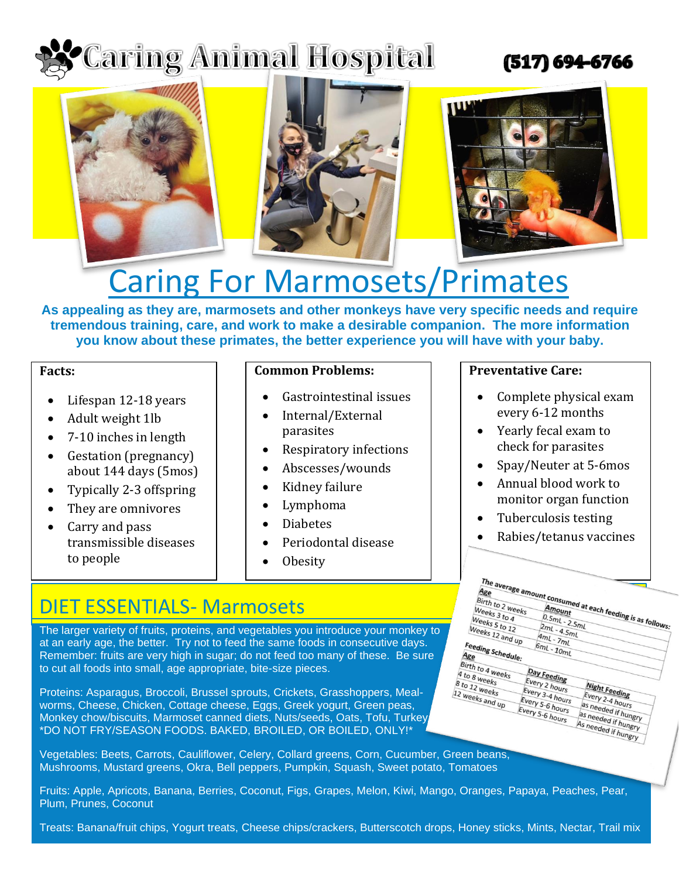# **Caring Animal Hospital**

# (517) 694-6766



# Caring For Marmosets/Primates

**As appealing as they are, marmosets and other monkeys have very specific needs and require tremendous training, care, and work to make a desirable companion. The more information you know about these primates, the better experience you will have with your baby.**

### **Facts:**

- Lifespan 12-18 years
- Adult weight 1lb
- 7-10 inches in length
- Gestation (pregnancy) about 144 days (5mos)
- Typically 2-3 offspring
- They are omnivores
- Carry and pass transmissible diseases to people

## **Common Problems:**

- Gastrointestinal issues
- Internal/External parasites
- Respiratory infections
- Abscesses/wounds
- Kidney failure
- Lymphoma
- **Diabetes**
- Periodontal disease
- **Obesity**

## **Preventative Care:**

- Complete physical exam every 6-12 months
- Yearly fecal exam to check for parasites
- Spay/Neuter at 5-6mos
- Annual blood work to monitor organ function
- Tuberculosis testing
- Rabies/tetanus vaccines

# DIET ESSENTIALS- Marmosets

The larger variety of fruits, proteins, and vegetables you introduce your monkey to at an early age, the better. Try not to feed the same foods in consecutive days. Remember: fruits are very high in sugar; do not feed too many of these. Be sure to cut all foods into small, age appropriate, bite-size pieces.

Proteins: Asparagus, Broccoli, Brussel sprouts, Crickets, Grasshoppers, Mealworms, Cheese, Chicken, Cottage cheese, Eggs, Greek yogurt, Green peas, Monkey chow/biscuits, Marmoset canned diets, Nuts/seeds, Oats, Tofu, Turkey \*DO NOT FRY/SEASON FOODS. BAKED, BROILED, OR BOILED, ONLY!\*

Vegetables: Beets, Carrots, Cauliflower, Celery, Collard greens, Corn, Cucumber, Green beans, Mushrooms, Mustard greens, Okra, Bell peppers, Pumpkin, Squash, Sweet potato, Tomatoes

Fruits: Apple, Apricots, Banana, Berries, Coconut, Figs, Grapes, Melon, Kiwi, Mango, Oranges, Papaya, Peaches, Pear, Plum, Prunes, Coconut

Treats: Banana/fruit chips, Yogurt treats, Cheese chips/crackers, Butterscotch drops, Honey sticks, Mints, Nectar, Trail mix

| The average amount consumed at each feeding is as follows: |                 |                                            |  |
|------------------------------------------------------------|-----------------|--------------------------------------------|--|
| Age                                                        |                 |                                            |  |
| Birth to 2 weeks                                           |                 |                                            |  |
| Weeks 3 to 4                                               |                 |                                            |  |
| Weeks 5 to 12                                              |                 |                                            |  |
| Weeks 12 and up                                            | $2mL - 4.5mL$   |                                            |  |
|                                                            | $4mL - 7mL$     |                                            |  |
|                                                            | $6mL - 10mL$    |                                            |  |
| Feeding Schedule:<br>Age                                   |                 |                                            |  |
|                                                            |                 |                                            |  |
| Birth to 4 weeks                                           | Day Feeding     |                                            |  |
| $4$ to 8 weeks                                             |                 |                                            |  |
| 8 to 12 weeks                                              | Every 2 hours   | Night Feeding                              |  |
|                                                            | Every 3-4 hours |                                            |  |
| 12 weeks and $u_{\mathcal{P}}$                             | Every 5-6 hours | Every 2-4 hours                            |  |
|                                                            | Every 5-6 hours | as needed if hungry                        |  |
|                                                            |                 |                                            |  |
|                                                            |                 | as needed if hungry<br>As needed if hungry |  |
|                                                            |                 |                                            |  |
|                                                            |                 |                                            |  |